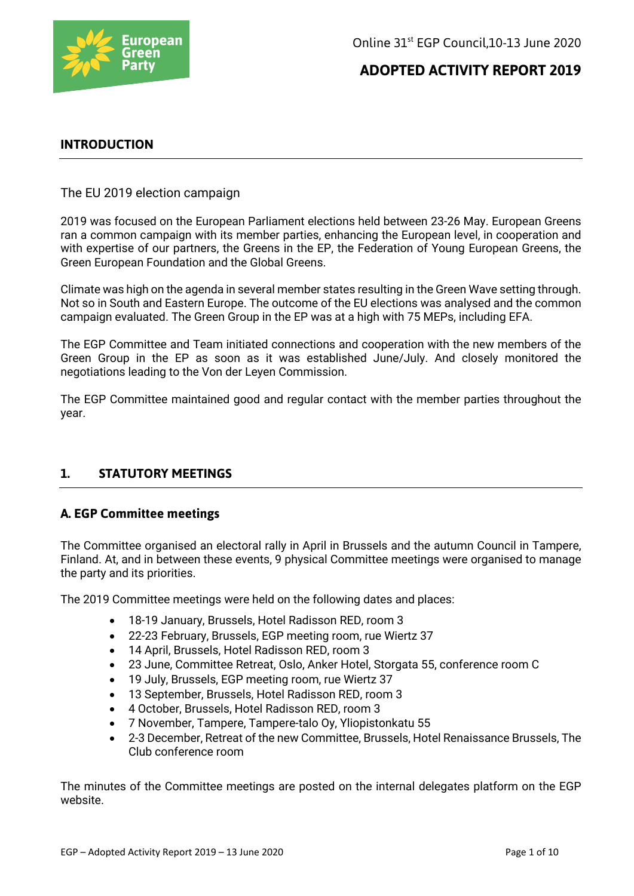

## **INTRODUCTION**

The EU 2019 election campaign

2019 was focused on the European Parliament elections held between 23-26 May. European Greens ran a common campaign with its member parties, enhancing the European level, in cooperation and with expertise of our partners, the Greens in the EP, the Federation of Young European Greens, the Green European Foundation and the Global Greens.

Climate was high on the agenda in several member states resulting in the Green Wave setting through. Not so in South and Eastern Europe. The outcome of the EU elections was analysed and the common campaign evaluated. The Green Group in the EP was at a high with 75 MEPs, including EFA.

The EGP Committee and Team initiated connections and cooperation with the new members of the Green Group in the EP as soon as it was established June/July. And closely monitored the negotiations leading to the Von der Leyen Commission.

The EGP Committee maintained good and regular contact with the member parties throughout the year.

### **1. STATUTORY MEETINGS**

### **A. EGP Committee meetings**

The Committee organised an electoral rally in April in Brussels and the autumn Council in Tampere, Finland. At, and in between these events, 9 physical Committee meetings were organised to manage the party and its priorities.

The 2019 Committee meetings were held on the following dates and places:

- 18-19 January, Brussels, Hotel Radisson RED, room 3
- 22-23 February, Brussels, EGP meeting room, rue Wiertz 37
- 14 April, Brussels, Hotel Radisson RED, room 3
- 23 June, Committee Retreat, Oslo, Anker Hotel, Storgata 55, conference room C
- 19 July, Brussels, EGP meeting room, rue Wiertz 37
- 13 September, Brussels, Hotel Radisson RED, room 3
- 4 October, Brussels, Hotel Radisson RED, room 3
- 7 November, Tampere, Tampere-talo Oy, Yliopistonkatu 55
- 2-3 December, Retreat of the new Committee, Brussels, Hotel Renaissance Brussels, The Club conference room

The minutes of the Committee meetings are posted on the internal delegates platform on the EGP website.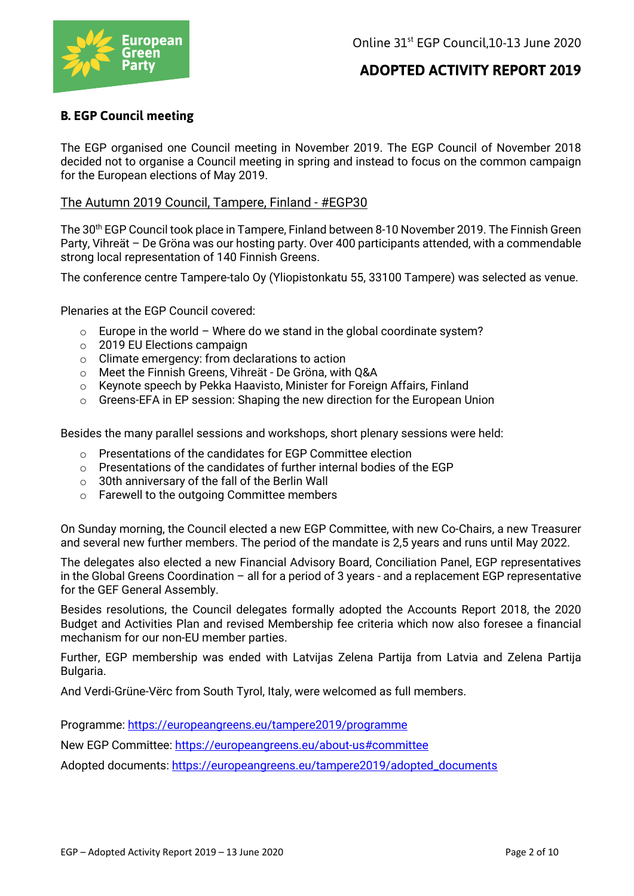

## **B. EGP Council meeting**

The EGP organised one Council meeting in November 2019. The EGP Council of November 2018 decided not to organise a Council meeting in spring and instead to focus on the common campaign for the European elections of May 2019.

#### The Autumn 2019 Council, Tampere, Finland - #EGP30

The 30th EGP Council took place in Tampere, Finland between 8-10 November 2019. The Finnish Green Party, Vihreät – De Gröna was our hosting party. Over 400 participants attended, with a commendable strong local representation of 140 Finnish Greens.

The conference centre Tampere-talo Oy (Yliopistonkatu 55, 33100 Tampere) was selected as venue.

Plenaries at the EGP Council covered:

- $\circ$  Europe in the world Where do we stand in the global coordinate system?
- o 2019 EU Elections campaign
- o Climate emergency: from declarations to action
- o Meet the Finnish Greens, Vihreät De Gröna, with Q&A
- o Keynote speech by Pekka Haavisto, Minister for Foreign Affairs, Finland
- $\circ$  Greens-EFA in EP session: Shaping the new direction for the European Union

Besides the many parallel sessions and workshops, short plenary sessions were held:

- o Presentations of the candidates for EGP Committee election
- o Presentations of the candidates of further internal bodies of the EGP
- o 30th anniversary of the fall of the Berlin Wall
- o Farewell to the outgoing Committee members

On Sunday morning, the Council elected a new EGP Committee, with new Co-Chairs, a new Treasurer and several new further members. The period of the mandate is 2,5 years and runs until May 2022.

The delegates also elected a new Financial Advisory Board, Conciliation Panel, EGP representatives in the Global Greens Coordination – all for a period of 3 years - and a replacement EGP representative for the GEF General Assembly.

Besides resolutions, the Council delegates formally adopted the Accounts Report 2018, the 2020 Budget and Activities Plan and revised Membership fee criteria which now also foresee a financial mechanism for our non-EU member parties.

Further, EGP membership was ended with Latvijas Zelena Partija from Latvia and Zelena Partija Bulgaria.

And Verdi-Grüne-Vërc from South Tyrol, Italy, were welcomed as full members.

Programme: https://europeangreens.eu/tampere2019/programme

New EGP Committee: https://europeangreens.eu/about-us#committee

Adopted documents: https://europeangreens.eu/tampere2019/adopted\_documents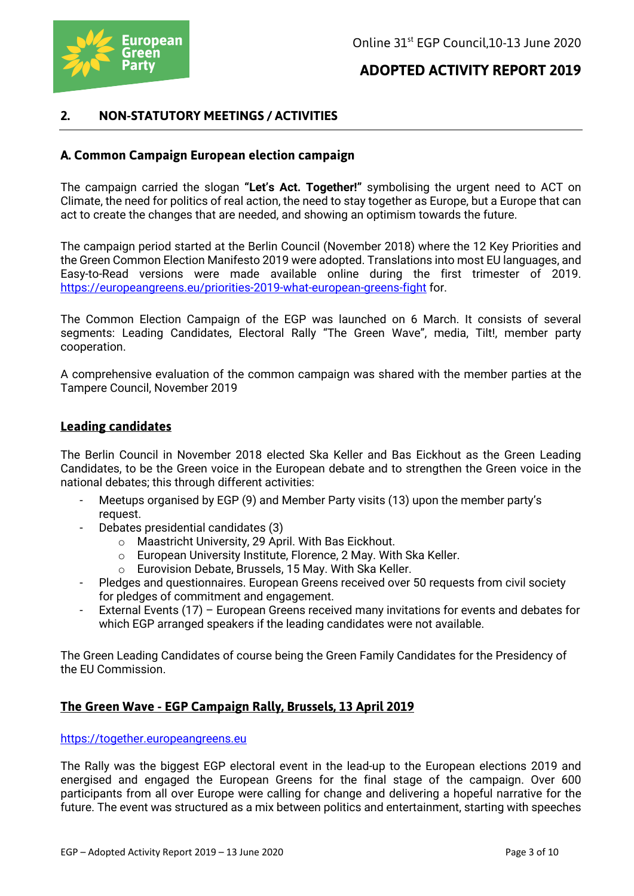

## **2. NON-STATUTORY MEETINGS / ACTIVITIES**

### **A. Common Campaign European election campaign**

The campaign carried the slogan **"Let's Act. Together!"** symbolising the urgent need to ACT on Climate, the need for politics of real action, the need to stay together as Europe, but a Europe that can act to create the changes that are needed, and showing an optimism towards the future.

The campaign period started at the Berlin Council (November 2018) where the 12 Key Priorities and the Green Common Election Manifesto 2019 were adopted. Translations into most EU languages, and Easy-to-Read versions were made available online during the first trimester of 2019. https://europeangreens.eu/priorities-2019-what-european-greens-fight for.

The Common Election Campaign of the EGP was launched on 6 March. It consists of several segments: Leading Candidates, Electoral Rally "The Green Wave", media, Tilt!, member party cooperation.

A comprehensive evaluation of the common campaign was shared with the member parties at the Tampere Council, November 2019

#### **Leading candidates**

The Berlin Council in November 2018 elected Ska Keller and Bas Eickhout as the Green Leading Candidates, to be the Green voice in the European debate and to strengthen the Green voice in the national debates; this through different activities:

- Meetups organised by EGP (9) and Member Party visits (13) upon the member party's request.
- Debates presidential candidates (3)
	- o Maastricht University, 29 April. With Bas Eickhout.
	- o European University Institute, Florence, 2 May. With Ska Keller.
	- o Eurovision Debate, Brussels, 15 May. With Ska Keller.
- Pledges and questionnaires. European Greens received over 50 requests from civil society for pledges of commitment and engagement.
- External Events (17) European Greens received many invitations for events and debates for which EGP arranged speakers if the leading candidates were not available.

The Green Leading Candidates of course being the Green Family Candidates for the Presidency of the EU Commission.

### **The Green Wave - EGP Campaign Rally, Brussels, 13 April 2019**

https://together.europeangreens.eu

The Rally was the biggest EGP electoral event in the lead-up to the European elections 2019 and energised and engaged the European Greens for the final stage of the campaign. Over 600 participants from all over Europe were calling for change and delivering a hopeful narrative for the future. The event was structured as a mix between politics and entertainment, starting with speeches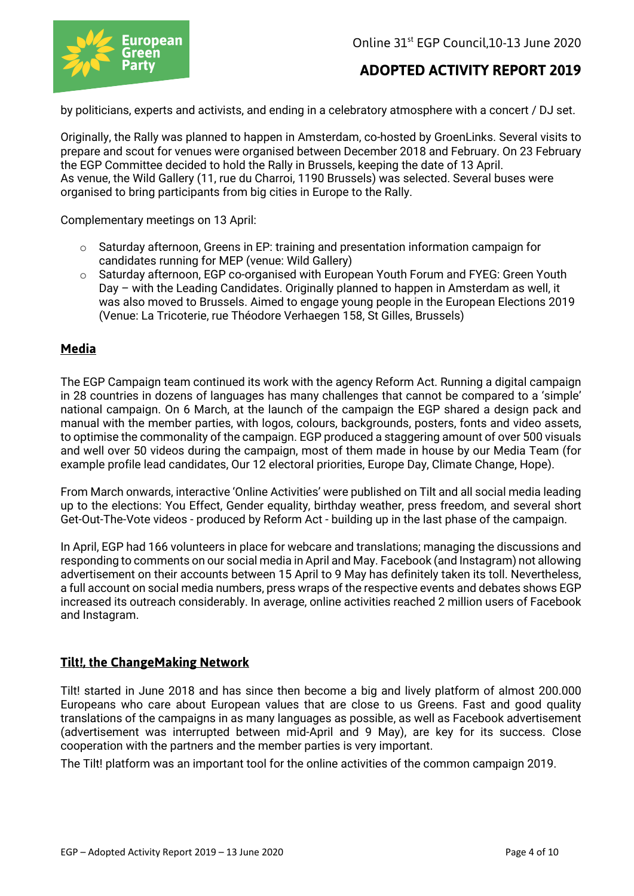

by politicians, experts and activists, and ending in a celebratory atmosphere with a concert / DJ set.

Originally, the Rally was planned to happen in Amsterdam, co-hosted by GroenLinks. Several visits to prepare and scout for venues were organised between December 2018 and February. On 23 February the EGP Committee decided to hold the Rally in Brussels, keeping the date of 13 April. As venue, the Wild Gallery (11, rue du Charroi, 1190 Brussels) was selected. Several buses were organised to bring participants from big cities in Europe to the Rally.

Complementary meetings on 13 April:

- $\circ$  Saturday afternoon, Greens in EP: training and presentation information campaign for candidates running for MEP (venue: Wild Gallery)
- o Saturday afternoon, EGP co-organised with European Youth Forum and FYEG: Green Youth Day – with the Leading Candidates. Originally planned to happen in Amsterdam as well, it was also moved to Brussels. Aimed to engage young people in the European Elections 2019 (Venue: La Tricoterie, rue Théodore Verhaegen 158, St Gilles, Brussels)

#### **Media**

The EGP Campaign team continued its work with the agency Reform Act. Running a digital campaign in 28 countries in dozens of languages has many challenges that cannot be compared to a 'simple' national campaign. On 6 March, at the launch of the campaign the EGP shared a design pack and manual with the member parties, with logos, colours, backgrounds, posters, fonts and video assets, to optimise the commonality of the campaign. EGP produced a staggering amount of over 500 visuals and well over 50 videos during the campaign, most of them made in house by our Media Team (for example profile lead candidates, Our 12 electoral priorities, Europe Day, Climate Change, Hope).

From March onwards, interactive 'Online Activities' were published on Tilt and all social media leading up to the elections: You Effect, Gender equality, birthday weather, press freedom, and several short Get-Out-The-Vote videos - produced by Reform Act - building up in the last phase of the campaign.

In April, EGP had 166 volunteers in place for webcare and translations; managing the discussions and responding to comments on our social media in April and May. Facebook (and Instagram) not allowing advertisement on their accounts between 15 April to 9 May has definitely taken its toll. Nevertheless, a full account on social media numbers, press wraps of the respective events and debates shows EGP increased its outreach considerably. In average, online activities reached 2 million users of Facebook and Instagram.

### **Tilt!, the ChangeMaking Network**

Tilt! started in June 2018 and has since then become a big and lively platform of almost 200.000 Europeans who care about European values that are close to us Greens. Fast and good quality translations of the campaigns in as many languages as possible, as well as Facebook advertisement (advertisement was interrupted between mid-April and 9 May), are key for its success. Close cooperation with the partners and the member parties is very important.

The Tilt! platform was an important tool for the online activities of the common campaign 2019.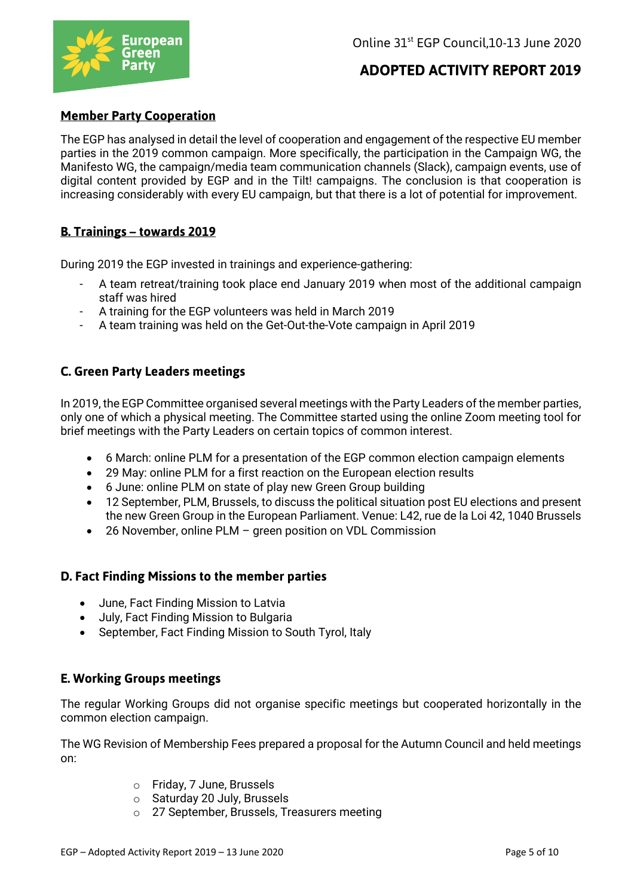

### **Member Party Cooperation**

The EGP has analysed in detail the level of cooperation and engagement of the respective EU member parties in the 2019 common campaign. More specifically, the participation in the Campaign WG, the Manifesto WG, the campaign/media team communication channels (Slack), campaign events, use of digital content provided by EGP and in the Tilt! campaigns. The conclusion is that cooperation is increasing considerably with every EU campaign, but that there is a lot of potential for improvement.

### **B. Trainings – towards 2019**

During 2019 the EGP invested in trainings and experience-gathering:

- A team retreat/training took place end January 2019 when most of the additional campaign staff was hired
- A training for the EGP volunteers was held in March 2019
- A team training was held on the Get-Out-the-Vote campaign in April 2019

### **C. Green Party Leaders meetings**

In 2019, the EGP Committee organised several meetings with the Party Leaders of the member parties, only one of which a physical meeting. The Committee started using the online Zoom meeting tool for brief meetings with the Party Leaders on certain topics of common interest.

- 6 March: online PLM for a presentation of the EGP common election campaign elements
- 29 May: online PLM for a first reaction on the European election results
- 6 June: online PLM on state of play new Green Group building
- 12 September, PLM, Brussels, to discuss the political situation post EU elections and present the new Green Group in the European Parliament. Venue: L42, rue de la Loi 42, 1040 Brussels
- 26 November, online PLM green position on VDL Commission

### **D. Fact Finding Missions to the member parties**

- June, Fact Finding Mission to Latvia
- July, Fact Finding Mission to Bulgaria
- September, Fact Finding Mission to South Tyrol, Italy

## **E. Working Groups meetings**

The regular Working Groups did not organise specific meetings but cooperated horizontally in the common election campaign.

The WG Revision of Membership Fees prepared a proposal for the Autumn Council and held meetings on:

- o Friday, 7 June, Brussels
- o Saturday 20 July, Brussels
- o 27 September, Brussels, Treasurers meeting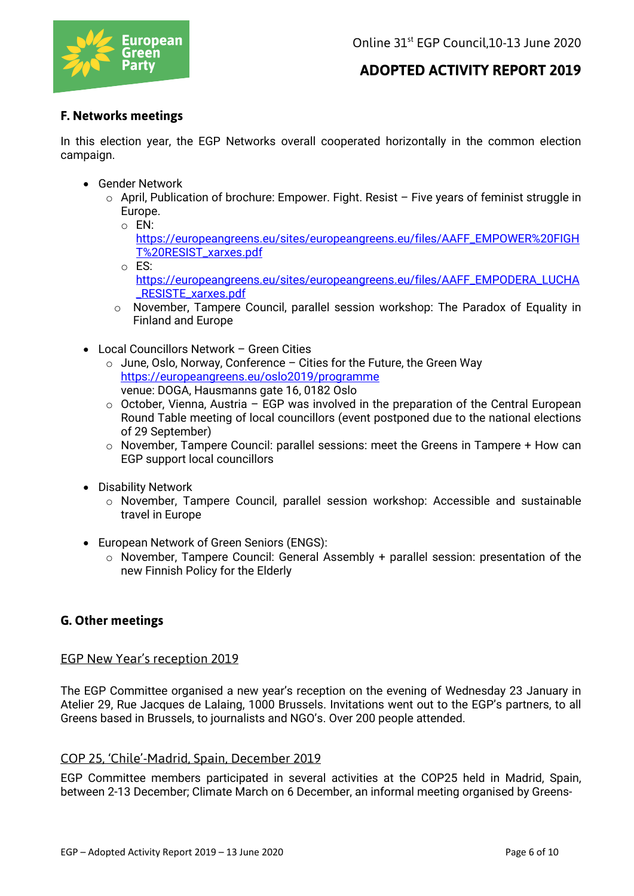

## **F. Networks meetings**

In this election year, the EGP Networks overall cooperated horizontally in the common election campaign.

- Gender Network
	- $\circ$  April, Publication of brochure: Empower. Fight. Resist Five years of feminist struggle in Europe.
		- o EN:
			- https://europeangreens.eu/sites/europeangreens.eu/files/AAFF\_EMPOWER%20FIGH T%20RESIST\_xarxes.pdf
		- o ES:
			- https://europeangreens.eu/sites/europeangreens.eu/files/AAFF\_EMPODERA\_LUCHA \_RESISTE\_xarxes.pdf
		- o November, Tampere Council, parallel session workshop: The Paradox of Equality in Finland and Europe
- Local Councillors Network Green Cities
	- $\circ$  June, Oslo, Norway, Conference Cities for the Future, the Green Way https://europeangreens.eu/oslo2019/programme venue: DOGA, Hausmanns gate 16, 0182 Oslo
	- $\circ$  October, Vienna, Austria EGP was involved in the preparation of the Central European Round Table meeting of local councillors (event postponed due to the national elections of 29 September)
	- o November, Tampere Council: parallel sessions: meet the Greens in Tampere + How can EGP support local councillors
- Disability Network
	- $\circ$  November, Tampere Council, parallel session workshop: Accessible and sustainable travel in Europe
- European Network of Green Seniors (ENGS):
	- o November, Tampere Council: General Assembly + parallel session: presentation of the new Finnish Policy for the Elderly

## **G. Other meetings**

### EGP New Year's reception 2019

The EGP Committee organised a new year's reception on the evening of Wednesday 23 January in Atelier 29, Rue Jacques de Lalaing, 1000 Brussels. Invitations went out to the EGP's partners, to all Greens based in Brussels, to journalists and NGO's. Over 200 people attended.

### COP 25, 'Chile'-Madrid, Spain, December 2019

EGP Committee members participated in several activities at the COP25 held in Madrid, Spain, between 2-13 December; Climate March on 6 December, an informal meeting organised by Greens-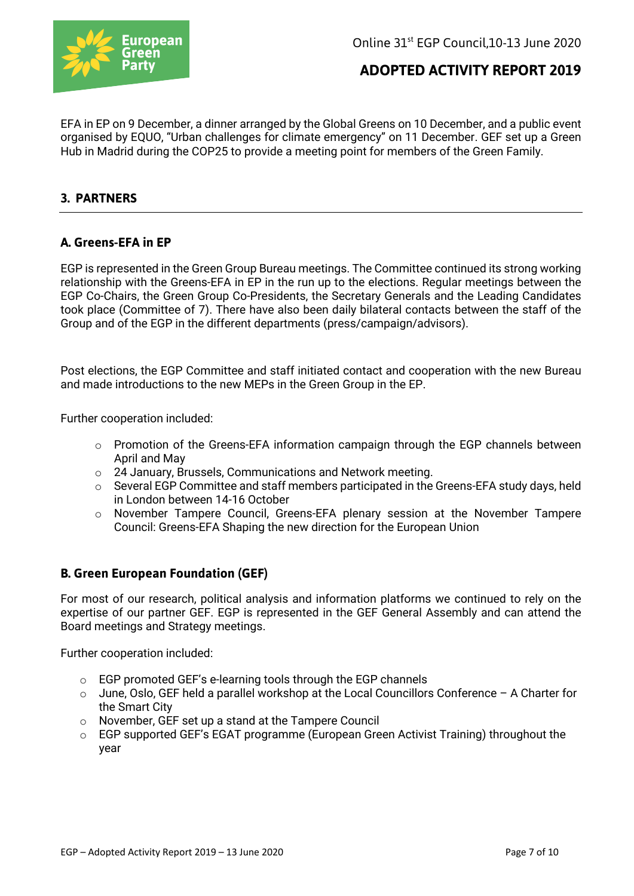

EFA in EP on 9 December, a dinner arranged by the Global Greens on 10 December, and a public event organised by EQUO, "Urban challenges for climate emergency" on 11 December. GEF set up a Green Hub in Madrid during the COP25 to provide a meeting point for members of the Green Family.

### **3. PARTNERS**

### **A. Greens-EFA in EP**

EGP is represented in the Green Group Bureau meetings. The Committee continued its strong working relationship with the Greens-EFA in EP in the run up to the elections. Regular meetings between the EGP Co-Chairs, the Green Group Co-Presidents, the Secretary Generals and the Leading Candidates took place (Committee of 7). There have also been daily bilateral contacts between the staff of the Group and of the EGP in the different departments (press/campaign/advisors).

Post elections, the EGP Committee and staff initiated contact and cooperation with the new Bureau and made introductions to the new MEPs in the Green Group in the EP.

Further cooperation included:

- $\circ$  Promotion of the Greens-EFA information campaign through the EGP channels between April and May
- o 24 January, Brussels, Communications and Network meeting.
- o Several EGP Committee and staff members participated in the Greens-EFA study days, held in London between 14-16 October
- o November Tampere Council, Greens-EFA plenary session at the November Tampere Council: Greens-EFA Shaping the new direction for the European Union

### **B. Green European Foundation (GEF)**

For most of our research, political analysis and information platforms we continued to rely on the expertise of our partner GEF. EGP is represented in the GEF General Assembly and can attend the Board meetings and Strategy meetings.

Further cooperation included:

- o EGP promoted GEF's e-learning tools through the EGP channels
- $\circ$  June, Oslo, GEF held a parallel workshop at the Local Councillors Conference A Charter for the Smart City
- o November, GEF set up a stand at the Tampere Council
- $\circ$  EGP supported GEF's EGAT programme (European Green Activist Training) throughout the year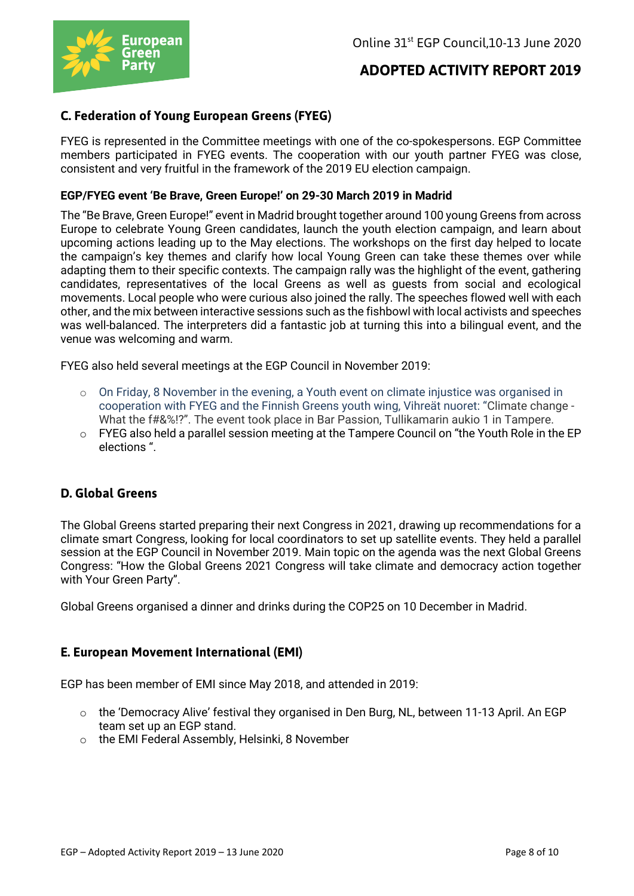

## **C. Federation of Young European Greens (FYEG)**

FYEG is represented in the Committee meetings with one of the co-spokespersons. EGP Committee members participated in FYEG events. The cooperation with our youth partner FYEG was close, consistent and very fruitful in the framework of the 2019 EU election campaign.

#### **EGP/FYEG event 'Be Brave, Green Europe!' on 29-30 March 2019 in Madrid**

The "Be Brave, Green Europe!" event in Madrid brought together around 100 young Greens from across Europe to celebrate Young Green candidates, launch the youth election campaign, and learn about upcoming actions leading up to the May elections. The workshops on the first day helped to locate the campaign's key themes and clarify how local Young Green can take these themes over while adapting them to their specific contexts. The campaign rally was the highlight of the event, gathering candidates, representatives of the local Greens as well as guests from social and ecological movements. Local people who were curious also joined the rally. The speeches flowed well with each other, and the mix between interactive sessions such as the fishbowl with local activists and speeches was well-balanced. The interpreters did a fantastic job at turning this into a bilingual event, and the venue was welcoming and warm.

FYEG also held several meetings at the EGP Council in November 2019:

- $\circ$  On Friday, 8 November in the evening, a Youth event on climate injustice was organised in cooperation with FYEG and the Finnish Greens youth wing, Vihreät nuoret: "Climate change - What the f#&%!?". The event took place in Bar Passion, Tullikamarin aukio 1 in Tampere.
- $\circ$  FYEG also held a parallel session meeting at the Tampere Council on "the Youth Role in the EP elections ".

### **D. Global Greens**

The Global Greens started preparing their next Congress in 2021, drawing up recommendations for a climate smart Congress, looking for local coordinators to set up satellite events. They held a parallel session at the EGP Council in November 2019. Main topic on the agenda was the next Global Greens Congress: "How the Global Greens 2021 Congress will take climate and democracy action together with Your Green Party".

Global Greens organised a dinner and drinks during the COP25 on 10 December in Madrid.

### **E. European Movement International (EMI)**

EGP has been member of EMI since May 2018, and attended in 2019:

- $\circ$  the 'Democracy Alive' festival they organised in Den Burg, NL, between 11-13 April. An EGP team set up an EGP stand.
- o the EMI Federal Assembly, Helsinki, 8 November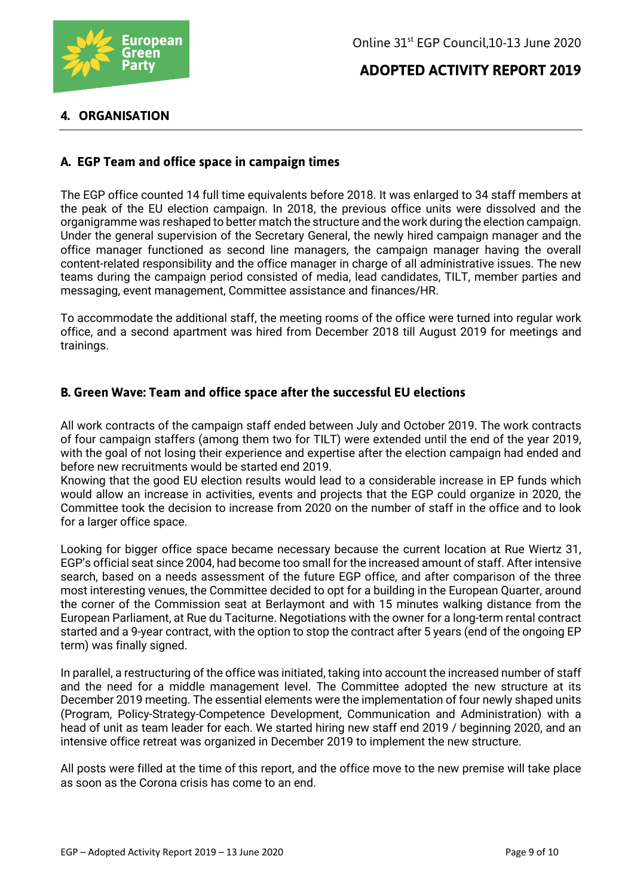

### **4. ORGANISATION**

### **A. EGP Team and office space in campaign times**

The EGP office counted 14 full time equivalents before 2018. It was enlarged to 34 staff members at the peak of the EU election campaign. In 2018, the previous office units were dissolved and the organigramme was reshaped to better match the structure and the work during the election campaign. Under the general supervision of the Secretary General, the newly hired campaign manager and the office manager functioned as second line managers, the campaign manager having the overall content-related responsibility and the office manager in charge of all administrative issues. The new teams during the campaign period consisted of media, lead candidates, TILT, member parties and messaging, event management, Committee assistance and finances/HR.

To accommodate the additional staff, the meeting rooms of the office were turned into regular work office, and a second apartment was hired from December 2018 till August 2019 for meetings and trainings.

### **B. Green Wave: Team and office space after the successful EU elections**

All work contracts of the campaign staff ended between July and October 2019. The work contracts of four campaign staffers (among them two for TILT) were extended until the end of the year 2019, with the goal of not losing their experience and expertise after the election campaign had ended and before new recruitments would be started end 2019.

Knowing that the good EU election results would lead to a considerable increase in EP funds which would allow an increase in activities, events and projects that the EGP could organize in 2020, the Committee took the decision to increase from 2020 on the number of staff in the office and to look for a larger office space.

Looking for bigger office space became necessary because the current location at Rue Wiertz 31, EGP's official seat since 2004, had become too small for the increased amount of staff. After intensive search, based on a needs assessment of the future EGP office, and after comparison of the three most interesting venues, the Committee decided to opt for a building in the European Quarter, around the corner of the Commission seat at Berlaymont and with 15 minutes walking distance from the European Parliament, at Rue du Taciturne. Negotiations with the owner for a long-term rental contract started and a 9-year contract, with the option to stop the contract after 5 years (end of the ongoing EP term) was finally signed.

In parallel, a restructuring of the office was initiated, taking into account the increased number of staff and the need for a middle management level. The Committee adopted the new structure at its December 2019 meeting. The essential elements were the implementation of four newly shaped units (Program, Policy-Strategy-Competence Development, Communication and Administration) with a head of unit as team leader for each. We started hiring new staff end 2019 / beginning 2020, and an intensive office retreat was organized in December 2019 to implement the new structure.

All posts were filled at the time of this report, and the office move to the new premise will take place as soon as the Corona crisis has come to an end.